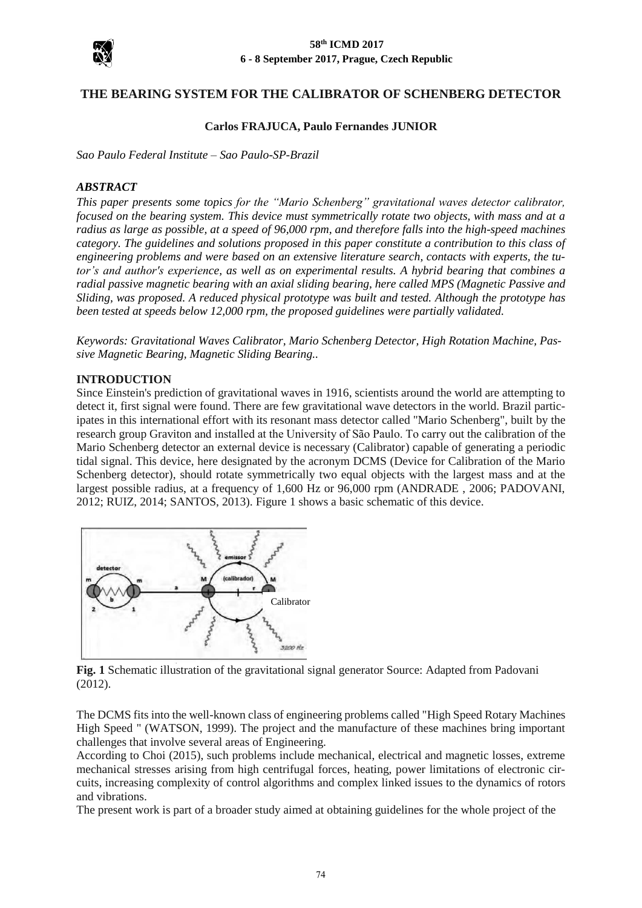

# **THE BEARING SYSTEM FOR THE CALIBRATOR OF SCHENBERG DETECTOR**

### **Carlos FRAJUCA, Paulo Fernandes JUNIOR**

*Sao Paulo Federal Institute – Sao Paulo-SP-Brazil*

### *ABSTRACT*

*This paper presents some topics for the "Mario Schenberg" gravitational waves detector calibrator, focused on the bearing system. This device must symmetrically rotate two objects, with mass and at a radius as large as possible, at a speed of 96,000 rpm, and therefore falls into the high-speed machines category. The guidelines and solutions proposed in this paper constitute a contribution to this class of engineering problems and were based on an extensive literature search, contacts with experts, the tutor's and author's experience, as well as on experimental results. A hybrid bearing that combines a radial passive magnetic bearing with an axial sliding bearing, here called MPS (Magnetic Passive and Sliding, was proposed. A reduced physical prototype was built and tested. Although the prototype has been tested at speeds below 12,000 rpm, the proposed guidelines were partially validated.*

*Keywords: Gravitational Waves Calibrator, Mario Schenberg Detector, High Rotation Machine, Passive Magnetic Bearing, Magnetic Sliding Bearing..*

#### **INTRODUCTION**

Since Einstein's prediction of gravitational waves in 1916, scientists around the world are attempting to detect it, first signal were found. There are few gravitational wave detectors in the world. Brazil participates in this international effort with its resonant mass detector called "Mario Schenberg", built by the research group Graviton and installed at the University of São Paulo. To carry out the calibration of the Mario Schenberg detector an external device is necessary (Calibrator) capable of generating a periodic tidal signal. This device, here designated by the acronym DCMS (Device for Calibration of the Mario Schenberg detector), should rotate symmetrically two equal objects with the largest mass and at the largest possible radius, at a frequency of 1,600 Hz or 96,000 rpm (ANDRADE , 2006; PADOVANI, 2012; RUIZ, 2014; SANTOS, 2013). Figure 1 shows a basic schematic of this device.



**Fig. 1** Schematic illustration of the gravitational signal generator Source: Adapted from Padovani (2012).

The DCMS fits into the well-known class of engineering problems called "High Speed Rotary Machines High Speed " (WATSON, 1999). The project and the manufacture of these machines bring important challenges that involve several areas of Engineering.

According to Choi (2015), such problems include mechanical, electrical and magnetic losses, extreme mechanical stresses arising from high centrifugal forces, heating, power limitations of electronic circuits, increasing complexity of control algorithms and complex linked issues to the dynamics of rotors and vibrations.

The present work is part of a broader study aimed at obtaining guidelines for the whole project of the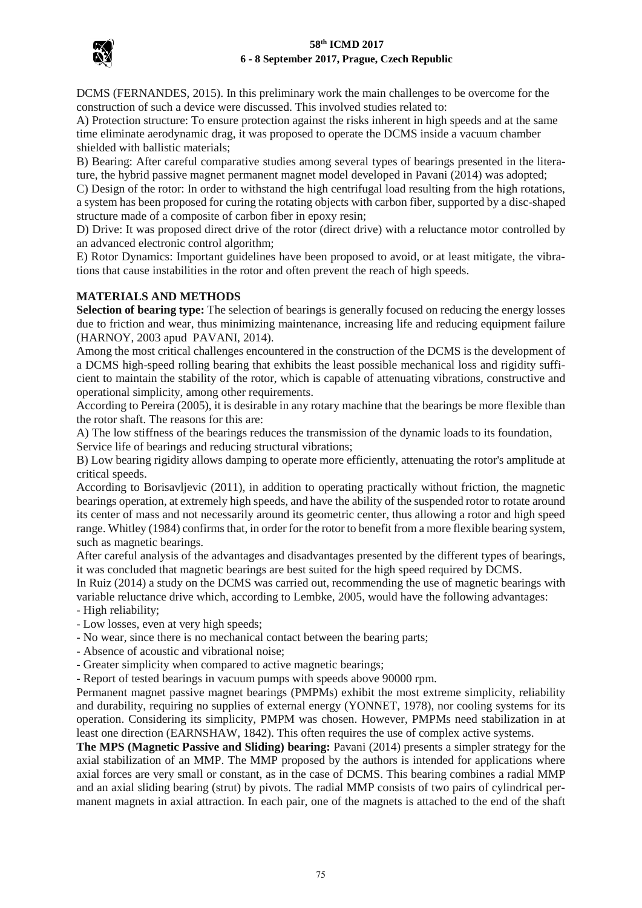

DCMS (FERNANDES, 2015). In this preliminary work the main challenges to be overcome for the construction of such a device were discussed. This involved studies related to:

A) Protection structure: To ensure protection against the risks inherent in high speeds and at the same time eliminate aerodynamic drag, it was proposed to operate the DCMS inside a vacuum chamber shielded with ballistic materials;

B) Bearing: After careful comparative studies among several types of bearings presented in the literature, the hybrid passive magnet permanent magnet model developed in Pavani (2014) was adopted;

C) Design of the rotor: In order to withstand the high centrifugal load resulting from the high rotations, a system has been proposed for curing the rotating objects with carbon fiber, supported by a disc-shaped structure made of a composite of carbon fiber in epoxy resin;

D) Drive: It was proposed direct drive of the rotor (direct drive) with a reluctance motor controlled by an advanced electronic control algorithm;

E) Rotor Dynamics: Important guidelines have been proposed to avoid, or at least mitigate, the vibrations that cause instabilities in the rotor and often prevent the reach of high speeds.

### **MATERIALS AND METHODS**

**Selection of bearing type:** The selection of bearings is generally focused on reducing the energy losses due to friction and wear, thus minimizing maintenance, increasing life and reducing equipment failure (HARNOY, 2003 apud PAVANI, 2014).

Among the most critical challenges encountered in the construction of the DCMS is the development of a DCMS high-speed rolling bearing that exhibits the least possible mechanical loss and rigidity sufficient to maintain the stability of the rotor, which is capable of attenuating vibrations, constructive and operational simplicity, among other requirements.

According to Pereira (2005), it is desirable in any rotary machine that the bearings be more flexible than the rotor shaft. The reasons for this are:

A) The low stiffness of the bearings reduces the transmission of the dynamic loads to its foundation, Service life of bearings and reducing structural vibrations;

B) Low bearing rigidity allows damping to operate more efficiently, attenuating the rotor's amplitude at critical speeds.

According to Borisavljevic (2011), in addition to operating practically without friction, the magnetic bearings operation, at extremely high speeds, and have the ability of the suspended rotor to rotate around its center of mass and not necessarily around its geometric center, thus allowing a rotor and high speed range. Whitley (1984) confirms that, in order for the rotor to benefit from a more flexible bearing system, such as magnetic bearings.

After careful analysis of the advantages and disadvantages presented by the different types of bearings, it was concluded that magnetic bearings are best suited for the high speed required by DCMS.

In Ruiz (2014) a study on the DCMS was carried out, recommending the use of magnetic bearings with variable reluctance drive which, according to Lembke, 2005, would have the following advantages:

- High reliability;
- Low losses, even at very high speeds;

- No wear, since there is no mechanical contact between the bearing parts;

- Absence of acoustic and vibrational noise;
- Greater simplicity when compared to active magnetic bearings;

- Report of tested bearings in vacuum pumps with speeds above 90000 rpm.

Permanent magnet passive magnet bearings (PMPMs) exhibit the most extreme simplicity, reliability and durability, requiring no supplies of external energy (YONNET, 1978), nor cooling systems for its operation. Considering its simplicity, PMPM was chosen. However, PMPMs need stabilization in at least one direction (EARNSHAW, 1842). This often requires the use of complex active systems.

**The MPS (Magnetic Passive and Sliding) bearing:** Pavani (2014) presents a simpler strategy for the axial stabilization of an MMP. The MMP proposed by the authors is intended for applications where axial forces are very small or constant, as in the case of DCMS. This bearing combines a radial MMP and an axial sliding bearing (strut) by pivots. The radial MMP consists of two pairs of cylindrical permanent magnets in axial attraction. In each pair, one of the magnets is attached to the end of the shaft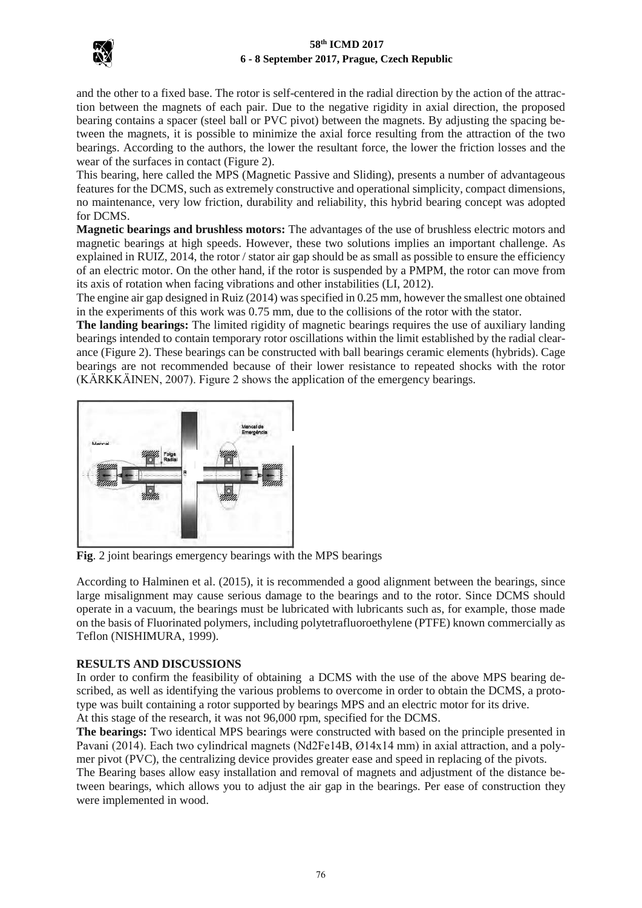

and the other to a fixed base. The rotor is self-centered in the radial direction by the action of the attraction between the magnets of each pair. Due to the negative rigidity in axial direction, the proposed bearing contains a spacer (steel ball or PVC pivot) between the magnets. By adjusting the spacing between the magnets, it is possible to minimize the axial force resulting from the attraction of the two bearings. According to the authors, the lower the resultant force, the lower the friction losses and the wear of the surfaces in contact (Figure 2).

This bearing, here called the MPS (Magnetic Passive and Sliding), presents a number of advantageous features for the DCMS, such as extremely constructive and operational simplicity, compact dimensions, no maintenance, very low friction, durability and reliability, this hybrid bearing concept was adopted for DCMS.

**Magnetic bearings and brushless motors:** The advantages of the use of brushless electric motors and magnetic bearings at high speeds. However, these two solutions implies an important challenge. As explained in RUIZ, 2014, the rotor / stator air gap should be as small as possible to ensure the efficiency of an electric motor. On the other hand, if the rotor is suspended by a PMPM, the rotor can move from its axis of rotation when facing vibrations and other instabilities (LI, 2012).

The engine air gap designed in Ruiz (2014) was specified in 0.25 mm, however the smallest one obtained in the experiments of this work was 0.75 mm, due to the collisions of the rotor with the stator.

**The landing bearings:** The limited rigidity of magnetic bearings requires the use of auxiliary landing bearings intended to contain temporary rotor oscillations within the limit established by the radial clearance (Figure 2). These bearings can be constructed with ball bearings ceramic elements (hybrids). Cage bearings are not recommended because of their lower resistance to repeated shocks with the rotor (KÄRKKÄINEN, 2007). Figure 2 shows the application of the emergency bearings.



**Fig**. 2 joint bearings emergency bearings with the MPS bearings

According to Halminen et al. (2015), it is recommended a good alignment between the bearings, since large misalignment may cause serious damage to the bearings and to the rotor. Since DCMS should operate in a vacuum, the bearings must be lubricated with lubricants such as, for example, those made on the basis of Fluorinated polymers, including polytetrafluoroethylene (PTFE) known commercially as Teflon (NISHIMURA, 1999).

## **RESULTS AND DISCUSSIONS**

In order to confirm the feasibility of obtaining a DCMS with the use of the above MPS bearing described, as well as identifying the various problems to overcome in order to obtain the DCMS, a prototype was built containing a rotor supported by bearings MPS and an electric motor for its drive.

At this stage of the research, it was not 96,000 rpm, specified for the DCMS.

**The bearings:** Two identical MPS bearings were constructed with based on the principle presented in Pavani (2014). Each two cylindrical magnets (Nd2Fe14B, Ø14x14 mm) in axial attraction, and a polymer pivot (PVC), the centralizing device provides greater ease and speed in replacing of the pivots.

The Bearing bases allow easy installation and removal of magnets and adjustment of the distance between bearings, which allows you to adjust the air gap in the bearings. Per ease of construction they were implemented in wood.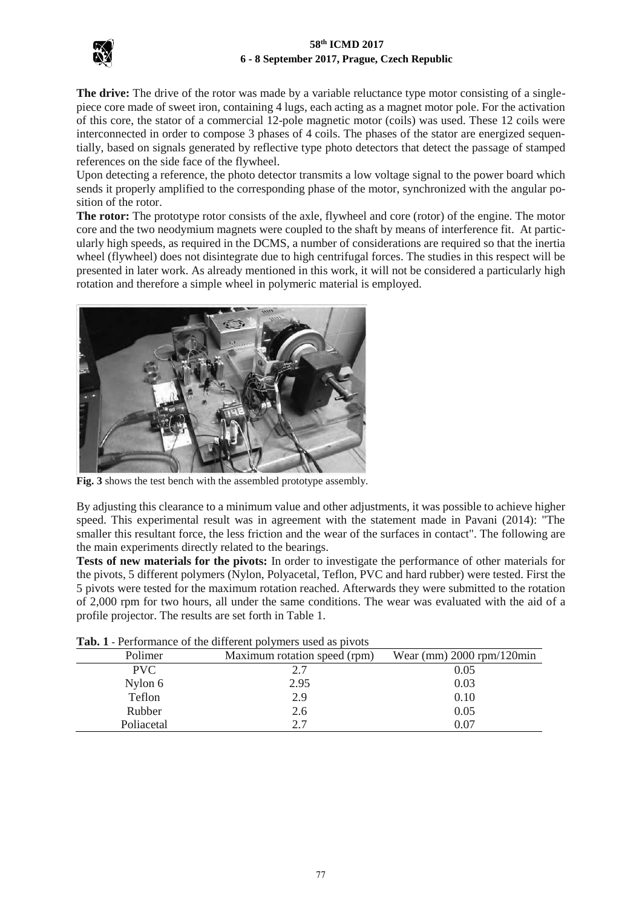

**The drive:** The drive of the rotor was made by a variable reluctance type motor consisting of a singlepiece core made of sweet iron, containing 4 lugs, each acting as a magnet motor pole. For the activation of this core, the stator of a commercial 12-pole magnetic motor (coils) was used. These 12 coils were interconnected in order to compose 3 phases of 4 coils. The phases of the stator are energized sequentially, based on signals generated by reflective type photo detectors that detect the passage of stamped references on the side face of the flywheel.

Upon detecting a reference, the photo detector transmits a low voltage signal to the power board which sends it properly amplified to the corresponding phase of the motor, synchronized with the angular position of the rotor.

**The rotor:** The prototype rotor consists of the axle, flywheel and core (rotor) of the engine. The motor core and the two neodymium magnets were coupled to the shaft by means of interference fit. At particularly high speeds, as required in the DCMS, a number of considerations are required so that the inertia wheel (flywheel) does not disintegrate due to high centrifugal forces. The studies in this respect will be presented in later work. As already mentioned in this work, it will not be considered a particularly high rotation and therefore a simple wheel in polymeric material is employed.



**Fig. 3** shows the test bench with the assembled prototype assembly.

By adjusting this clearance to a minimum value and other adjustments, it was possible to achieve higher speed. This experimental result was in agreement with the statement made in Pavani (2014): "The smaller this resultant force, the less friction and the wear of the surfaces in contact". The following are the main experiments directly related to the bearings.

**Tests of new materials for the pivots:** In order to investigate the performance of other materials for the pivots, 5 different polymers (Nylon, Polyacetal, Teflon, PVC and hard rubber) were tested. First the 5 pivots were tested for the maximum rotation reached. Afterwards they were submitted to the rotation of 2,000 rpm for two hours, all under the same conditions. The wear was evaluated with the aid of a profile projector. The results are set forth in Table 1.

| <b>THE T</b> TUIDING OF THE CHILICIAL POTTING SUCH AS PITOLS |                              |                             |
|--------------------------------------------------------------|------------------------------|-----------------------------|
| Polimer                                                      | Maximum rotation speed (rpm) | Wear (mm) $2000$ rpm/120min |
| PVC.                                                         | 2.7                          | 0.05                        |
| Nylon 6                                                      | 2.95                         | 0.03                        |
| Teflon                                                       | 2.9                          | 0.10                        |
| Rubber                                                       | 2.6                          | 0.05                        |
| Poliacetal                                                   | 2.7                          | $\rm 0.07$                  |

| Tab. 1 - Performance of the different polymers used as pivots |  |
|---------------------------------------------------------------|--|
|---------------------------------------------------------------|--|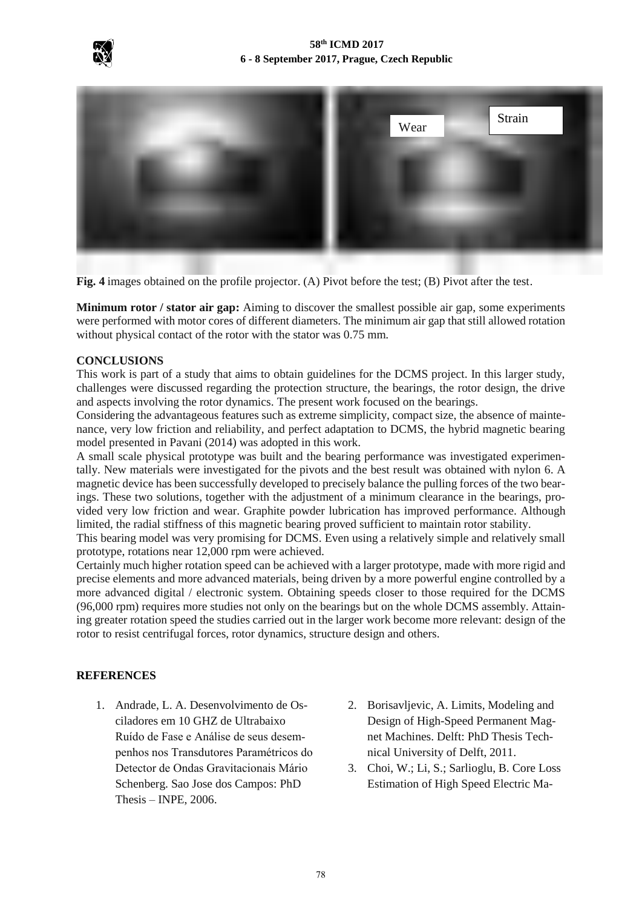



**Fig. 4** images obtained on the profile projector. (A) Pivot before the test; (B) Pivot after the test.

**Minimum rotor / stator air gap:** Aiming to discover the smallest possible air gap, some experiments were performed with motor cores of different diameters. The minimum air gap that still allowed rotation without physical contact of the rotor with the stator was 0.75 mm.

## **CONCLUSIONS**

This work is part of a study that aims to obtain guidelines for the DCMS project. In this larger study, challenges were discussed regarding the protection structure, the bearings, the rotor design, the drive and aspects involving the rotor dynamics. The present work focused on the bearings.

Considering the advantageous features such as extreme simplicity, compact size, the absence of maintenance, very low friction and reliability, and perfect adaptation to DCMS, the hybrid magnetic bearing model presented in Pavani (2014) was adopted in this work.

A small scale physical prototype was built and the bearing performance was investigated experimentally. New materials were investigated for the pivots and the best result was obtained with nylon 6. A magnetic device has been successfully developed to precisely balance the pulling forces of the two bearings. These two solutions, together with the adjustment of a minimum clearance in the bearings, provided very low friction and wear. Graphite powder lubrication has improved performance. Although limited, the radial stiffness of this magnetic bearing proved sufficient to maintain rotor stability.

This bearing model was very promising for DCMS. Even using a relatively simple and relatively small prototype, rotations near 12,000 rpm were achieved.

Certainly much higher rotation speed can be achieved with a larger prototype, made with more rigid and precise elements and more advanced materials, being driven by a more powerful engine controlled by a more advanced digital / electronic system. Obtaining speeds closer to those required for the DCMS (96,000 rpm) requires more studies not only on the bearings but on the whole DCMS assembly. Attaining greater rotation speed the studies carried out in the larger work become more relevant: design of the rotor to resist centrifugal forces, rotor dynamics, structure design and others.

## **REFERENCES**

- 1. Andrade, L. A. Desenvolvimento de Osciladores em 10 GHZ de Ultrabaixo Ruído de Fase e Análise de seus desempenhos nos Transdutores Paramétricos do Detector de Ondas Gravitacionais Mário Schenberg. Sao Jose dos Campos: PhD Thesis – INPE, 2006.
- 2. Borisavljevic, A. Limits, Modeling and Design of High-Speed Permanent Magnet Machines. Delft: PhD Thesis Technical University of Delft, 2011.
- 3. Choi, W.; Li, S.; Sarlioglu, B. Core Loss Estimation of High Speed Electric Ma-